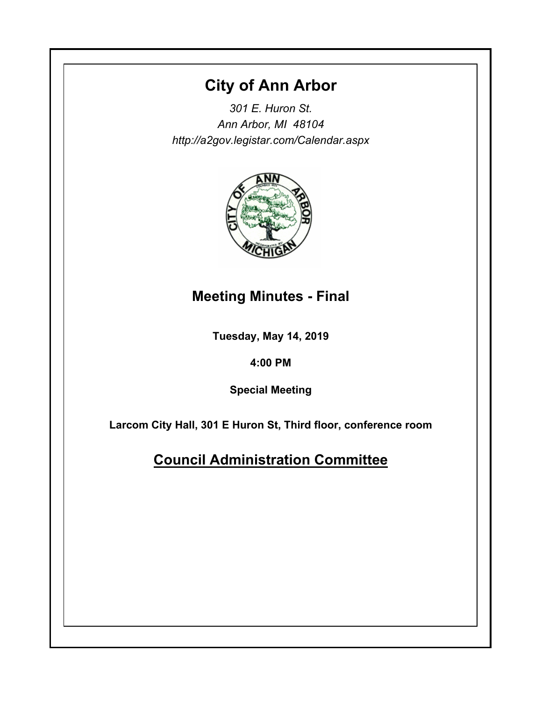# **City of Ann Arbor**

*301 E. Huron St. Ann Arbor, MI 48104 http://a2gov.legistar.com/Calendar.aspx*



# **Meeting Minutes - Final**

**Tuesday, May 14, 2019**

**4:00 PM**

**Special Meeting**

**Larcom City Hall, 301 E Huron St, Third floor, conference room**

**Council Administration Committee**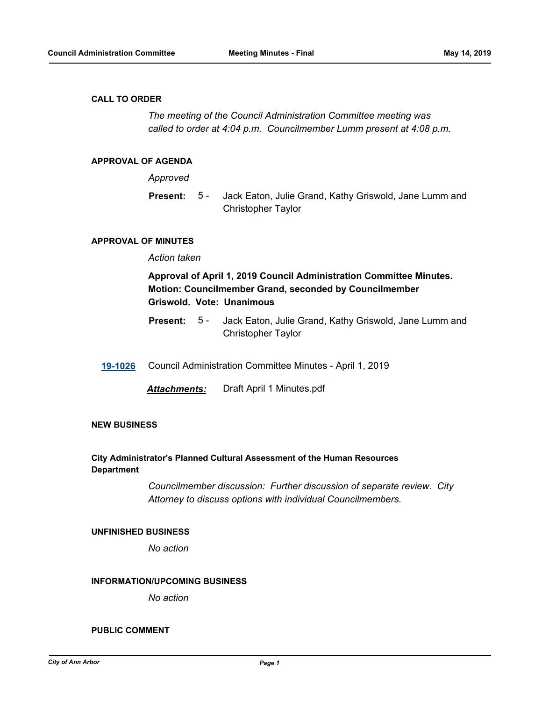#### **CALL TO ORDER**

*The meeting of the Council Administration Committee meeting was called to order at 4:04 p.m. Councilmember Lumm present at 4:08 p.m.*

#### **APPROVAL OF AGENDA**

*Approved*

Jack Eaton, Julie Grand, Kathy Griswold, Jane Lumm and Christopher Taylor **Present:** 5 -

#### **APPROVAL OF MINUTES**

## *Action taken*

## **Approval of April 1, 2019 Council Administration Committee Minutes. Motion: Councilmember Grand, seconded by Councilmember Griswold. Vote: Unanimous**

- Jack Eaton, Julie Grand, Kathy Griswold, Jane Lumm and Christopher Taylor **Present:** 5 -
- **[19-1026](http://a2gov.legistar.com/gateway.aspx?M=L&ID=22678)** Council Administration Committee Minutes April 1, 2019

*Attachments:* Draft April 1 Minutes.pdf

#### **NEW BUSINESS**

### **City Administrator's Planned Cultural Assessment of the Human Resources Department**

*Councilmember discussion: Further discussion of separate review. City Attorney to discuss options with individual Councilmembers.*

#### **UNFINISHED BUSINESS**

*No action*

#### **INFORMATION/UPCOMING BUSINESS**

*No action*

### **PUBLIC COMMENT**